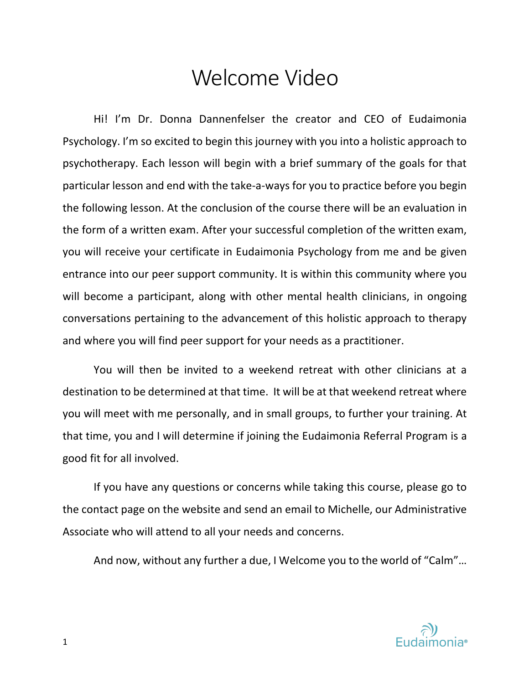# Welcome Video

Hi! I'm Dr. Donna Dannenfelser the creator and CEO of Eudaimonia Psychology. I'm so excited to begin this journey with you into a holistic approach to psychotherapy. Each lesson will begin with a brief summary of the goals for that particular lesson and end with the take-a-ways for you to practice before you begin the following lesson. At the conclusion of the course there will be an evaluation in the form of a written exam. After your successful completion of the written exam, you will receive your certificate in Eudaimonia Psychology from me and be given entrance into our peer support community. It is within this community where you will become a participant, along with other mental health clinicians, in ongoing conversations pertaining to the advancement of this holistic approach to therapy and where you will find peer support for your needs as a practitioner.

You will then be invited to a weekend retreat with other clinicians at a destination to be determined at that time. It will be at that weekend retreat where you will meet with me personally, and in small groups, to further your training. At that time, you and I will determine if joining the Eudaimonia Referral Program is a good fit for all involved.

If you have any questions or concerns while taking this course, please go to the contact page on the website and send an email to Michelle, our Administrative Associate who will attend to all your needs and concerns.

And now, without any further a due, I Welcome you to the world of "Calm"…



1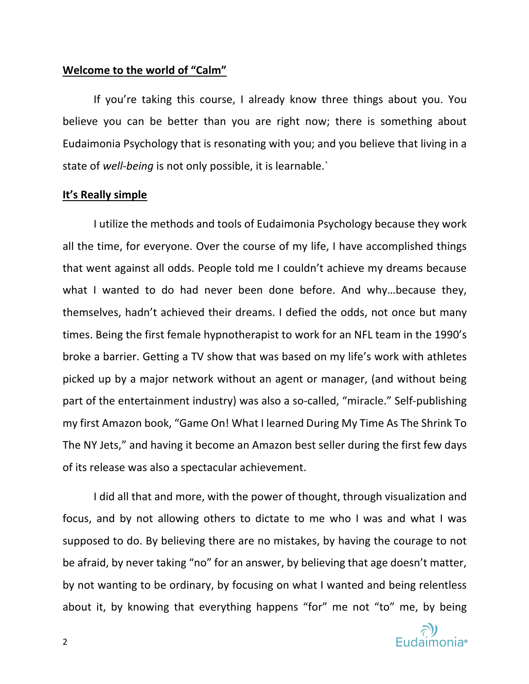#### **Welcome to the world of "Calm"**

If you're taking this course, I already know three things about you. You believe you can be better than you are right now; there is something about Eudaimonia Psychology that is resonating with you; and you believe that living in a state of *well-being* is not only possible, it is learnable.`

#### **It's Really simple**

I utilize the methods and tools of Eudaimonia Psychology because they work all the time, for everyone. Over the course of my life, I have accomplished things that went against all odds. People told me I couldn't achieve my dreams because what I wanted to do had never been done before. And why…because they, themselves, hadn't achieved their dreams. I defied the odds, not once but many times. Being the first female hypnotherapist to work for an NFL team in the 1990's broke a barrier. Getting a TV show that was based on my life's work with athletes picked up by a major network without an agent or manager, (and without being part of the entertainment industry) was also a so-called, "miracle." Self-publishing my first Amazon book, "Game On! What I learned During My Time As The Shrink To The NY Jets," and having it become an Amazon best seller during the first few days of its release was also a spectacular achievement.

I did all that and more, with the power of thought, through visualization and focus, and by not allowing others to dictate to me who I was and what I was supposed to do. By believing there are no mistakes, by having the courage to not be afraid, by never taking "no" for an answer, by believing that age doesn't matter, by not wanting to be ordinary, by focusing on what I wanted and being relentless about it, by knowing that everything happens "for" me not "to" me, by being

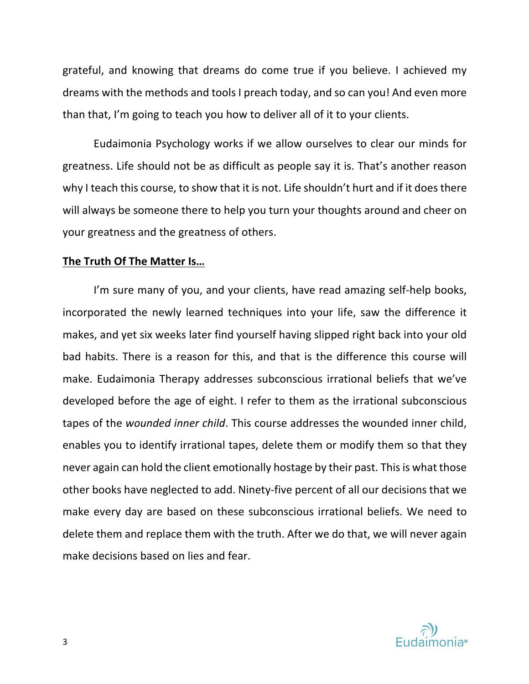grateful, and knowing that dreams do come true if you believe. I achieved my dreams with the methods and tools I preach today, and so can you! And even more than that, I'm going to teach you how to deliver all of it to your clients.

Eudaimonia Psychology works if we allow ourselves to clear our minds for greatness. Life should not be as difficult as people say it is. That's another reason why I teach this course, to show that it is not. Life shouldn't hurt and if it does there will always be someone there to help you turn your thoughts around and cheer on your greatness and the greatness of others.

## **The Truth Of The Matter Is…**

I'm sure many of you, and your clients, have read amazing self-help books, incorporated the newly learned techniques into your life, saw the difference it makes, and yet six weeks later find yourself having slipped right back into your old bad habits. There is a reason for this, and that is the difference this course will make. Eudaimonia Therapy addresses subconscious irrational beliefs that we've developed before the age of eight. I refer to them as the irrational subconscious tapes of the *wounded inner child*. This course addresses the wounded inner child, enables you to identify irrational tapes, delete them or modify them so that they never again can hold the client emotionally hostage by their past. This is what those other books have neglected to add. Ninety-five percent of all our decisions that we make every day are based on these subconscious irrational beliefs. We need to delete them and replace them with the truth. After we do that, we will never again make decisions based on lies and fear.

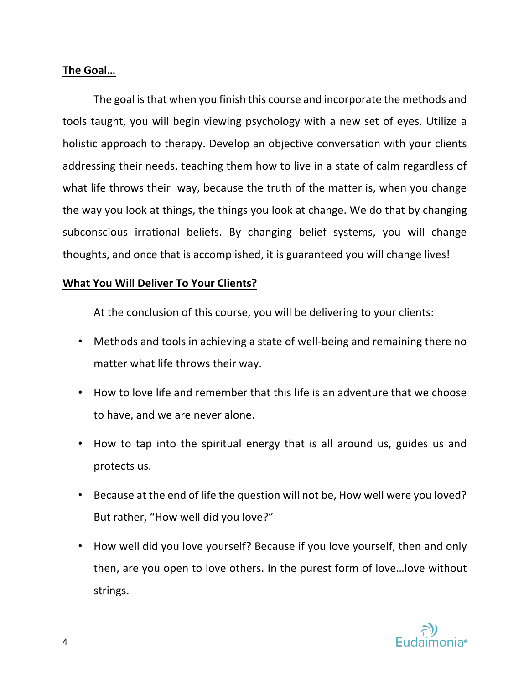# **The Goal…**

The goal is that when you finish this course and incorporate the methods and tools taught, you will begin viewing psychology with a new set of eyes. Utilize a holistic approach to therapy. Develop an objective conversation with your clients addressing their needs, teaching them how to live in a state of calm regardless of what life throws their way, because the truth of the matter is, when you change the way you look at things, the things you look at change. We do that by changing subconscious irrational beliefs. By changing belief systems, you will change thoughts, and once that is accomplished, it is guaranteed you will change lives!

# **What You Will Deliver To Your Clients?**

At the conclusion of this course, you will be delivering to your clients:

- Methods and tools in achieving a state of well-being and remaining there no matter what life throws their way.
- How to love life and remember that this life is an adventure that we choose to have, and we are never alone.
- How to tap into the spiritual energy that is all around us, guides us and protects us.
- Because at the end of life the question will not be, How well were you loved? But rather, "How well did you love?"
- How well did you love yourself? Because if you love yourself, then and only then, are you open to love others. In the purest form of love…love without strings.

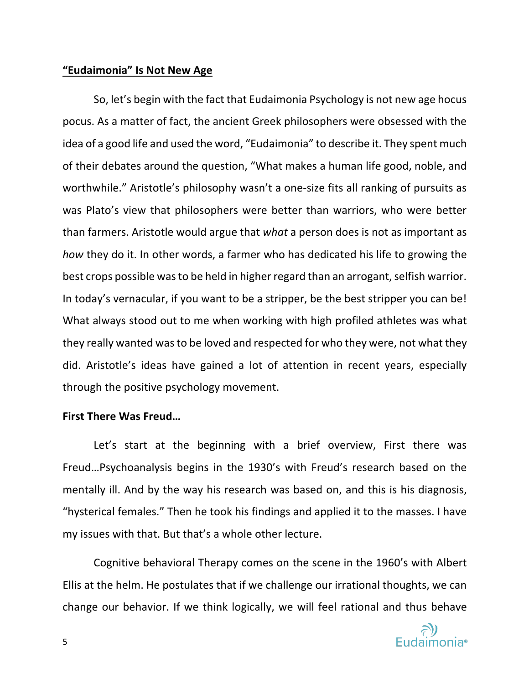## **"Eudaimonia" Is Not New Age**

So, let's begin with the fact that Eudaimonia Psychology is not new age hocus pocus. As a matter of fact, the ancient Greek philosophers were obsessed with the idea of a good life and used the word, "Eudaimonia" to describe it. They spent much of their debates around the question, "What makes a human life good, noble, and worthwhile." Aristotle's philosophy wasn't a one-size fits all ranking of pursuits as was Plato's view that philosophers were better than warriors, who were better than farmers. Aristotle would argue that *what* a person does is not as important as *how* they do it. In other words, a farmer who has dedicated his life to growing the best crops possible was to be held in higher regard than an arrogant, selfish warrior. In today's vernacular, if you want to be a stripper, be the best stripper you can be! What always stood out to me when working with high profiled athletes was what they really wanted was to be loved and respected for who they were, not what they did. Aristotle's ideas have gained a lot of attention in recent years, especially through the positive psychology movement.

## **First There Was Freud…**

Let's start at the beginning with a brief overview, First there was Freud…Psychoanalysis begins in the 1930's with Freud's research based on the mentally ill. And by the way his research was based on, and this is his diagnosis, "hysterical females." Then he took his findings and applied it to the masses. I have my issues with that. But that's a whole other lecture.

Cognitive behavioral Therapy comes on the scene in the 1960's with Albert Ellis at the helm. He postulates that if we challenge our irrational thoughts, we can change our behavior. If we think logically, we will feel rational and thus behave

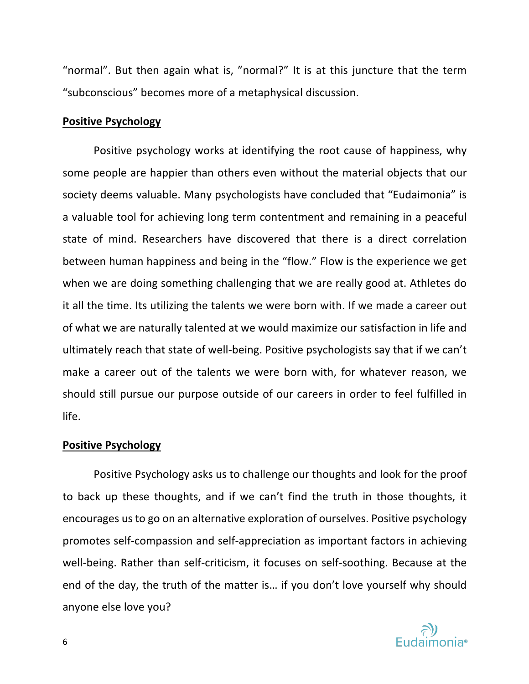"normal". But then again what is, "normal?" It is at this juncture that the term "subconscious" becomes more of a metaphysical discussion.

#### **Positive Psychology**

Positive psychology works at identifying the root cause of happiness, why some people are happier than others even without the material objects that our society deems valuable. Many psychologists have concluded that "Eudaimonia" is a valuable tool for achieving long term contentment and remaining in a peaceful state of mind. Researchers have discovered that there is a direct correlation between human happiness and being in the "flow." Flow is the experience we get when we are doing something challenging that we are really good at. Athletes do it all the time. Its utilizing the talents we were born with. If we made a career out of what we are naturally talented at we would maximize our satisfaction in life and ultimately reach that state of well-being. Positive psychologists say that if we can't make a career out of the talents we were born with, for whatever reason, we should still pursue our purpose outside of our careers in order to feel fulfilled in life.

#### **Positive Psychology**

Positive Psychology asks us to challenge our thoughts and look for the proof to back up these thoughts, and if we can't find the truth in those thoughts, it encourages us to go on an alternative exploration of ourselves. Positive psychology promotes self-compassion and self-appreciation as important factors in achieving well-being. Rather than self-criticism, it focuses on self-soothing. Because at the end of the day, the truth of the matter is… if you don't love yourself why should anyone else love you?

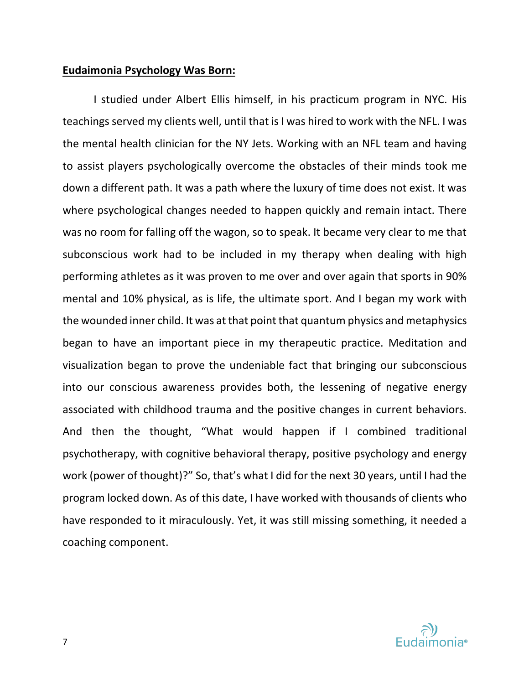## **Eudaimonia Psychology Was Born:**

I studied under Albert Ellis himself, in his practicum program in NYC. His teachings served my clients well, until that is I was hired to work with the NFL. I was the mental health clinician for the NY Jets. Working with an NFL team and having to assist players psychologically overcome the obstacles of their minds took me down a different path. It was a path where the luxury of time does not exist. It was where psychological changes needed to happen quickly and remain intact. There was no room for falling off the wagon, so to speak. It became very clear to me that subconscious work had to be included in my therapy when dealing with high performing athletes as it was proven to me over and over again that sports in 90% mental and 10% physical, as is life, the ultimate sport. And I began my work with the wounded inner child. It was at that point that quantum physics and metaphysics began to have an important piece in my therapeutic practice. Meditation and visualization began to prove the undeniable fact that bringing our subconscious into our conscious awareness provides both, the lessening of negative energy associated with childhood trauma and the positive changes in current behaviors. And then the thought, "What would happen if I combined traditional psychotherapy, with cognitive behavioral therapy, positive psychology and energy work (power of thought)?" So, that's what I did for the next 30 years, until I had the program locked down. As of this date, I have worked with thousands of clients who have responded to it miraculously. Yet, it was still missing something, it needed a coaching component.

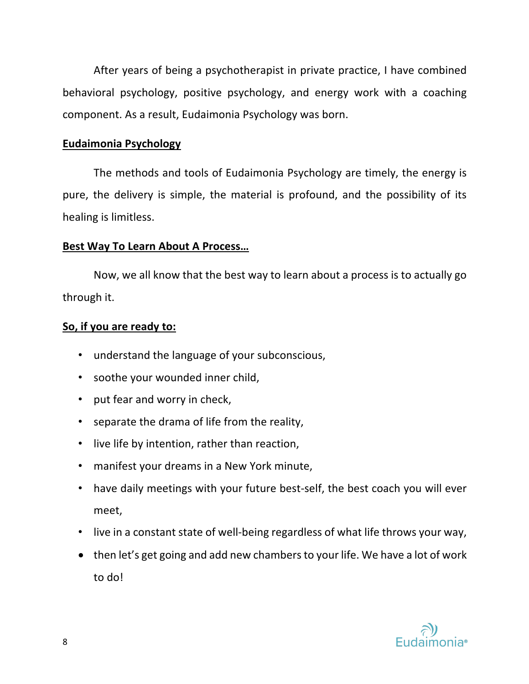After years of being a psychotherapist in private practice, I have combined behavioral psychology, positive psychology, and energy work with a coaching component. As a result, Eudaimonia Psychology was born.

# **Eudaimonia Psychology**

The methods and tools of Eudaimonia Psychology are timely, the energy is pure, the delivery is simple, the material is profound, and the possibility of its healing is limitless.

## **Best Way To Learn About A Process…**

Now, we all know that the best way to learn about a process is to actually go through it.

# **So, if you are ready to:**

- understand the language of your subconscious,
- soothe your wounded inner child,
- put fear and worry in check,
- separate the drama of life from the reality,
- live life by intention, rather than reaction,
- manifest your dreams in a New York minute,
- have daily meetings with your future best-self, the best coach you will ever meet,
- live in a constant state of well-being regardless of what life throws your way,
- then let's get going and add new chambers to your life. We have a lot of work to do!